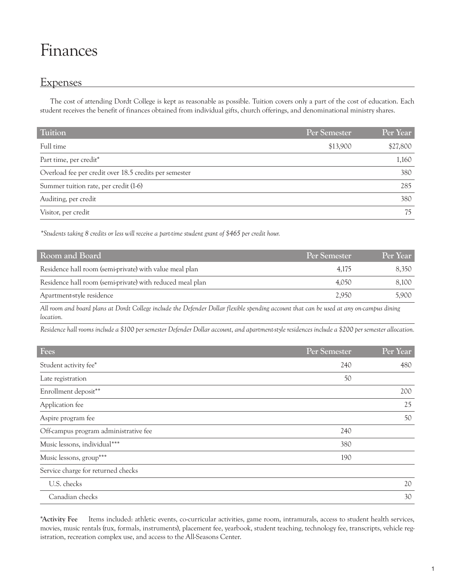# Finances

# **Expenses**

The cost of attending Dordt College is kept as reasonable as possible. Tuition covers only a part of the cost of education. Each student receives the benefit of finances obtained from individual gifts, church offerings, and denominational ministry shares.

| <b>Tuition</b>                                         | Per Semester | Per Year |
|--------------------------------------------------------|--------------|----------|
| Full time                                              | \$13,900     | \$27,800 |
| Part time, per credit*                                 |              | 1,160    |
| Overload fee per credit over 18.5 credits per semester |              | 380      |
| Summer tuition rate, per credit (1-6)                  |              | 285      |
| Auditing, per credit                                   |              | 380      |
| Visitor, per credit                                    |              | 75       |

*\*Students taking 8 credits or less will receive a part-time student grant of \$465 per credit hour.*

| Room and Board                                            | <b>Per Semester</b> | Per Year |
|-----------------------------------------------------------|---------------------|----------|
| Residence hall room (semi-private) with value meal plan   | 4.175               | 8.350    |
| Residence hall room (semi-private) with reduced meal plan | 4.050               | 8.100    |
| Apartment-style residence                                 | 2,950               | 5.900    |

*All room and board plans at Dordt College include the Defender Dollar flexible spending account that can be used at any on-campus dining location.* 

*Residence hall rooms include a \$100 per semester Defender Dollar account, and apartment-style residences include a \$200 per semester allocation.*

| Fees                                  | Per Semester | Per Year |
|---------------------------------------|--------------|----------|
| Student activity fee*                 | 240          | 480      |
| Late registration                     | 50           |          |
| Enrollment deposit**                  |              | 200      |
| Application fee                       |              | 25       |
| Aspire program fee                    |              | 50       |
| Off-campus program administrative fee | 240          |          |
| Music lessons, individual***          | 380          |          |
| Music lessons, group***               | 190          |          |
| Service charge for returned checks    |              |          |
| U.S. checks                           |              | 20       |
| Canadian checks                       |              | 30       |

**\*Activity Fee** Items included: athletic events, co-curricular activities, game room, intramurals, access to student health services, movies, music rentals (tux, formals, instruments), placement fee, yearbook, student teaching, technology fee, transcripts, vehicle registration, recreation complex use, and access to the All-Seasons Center.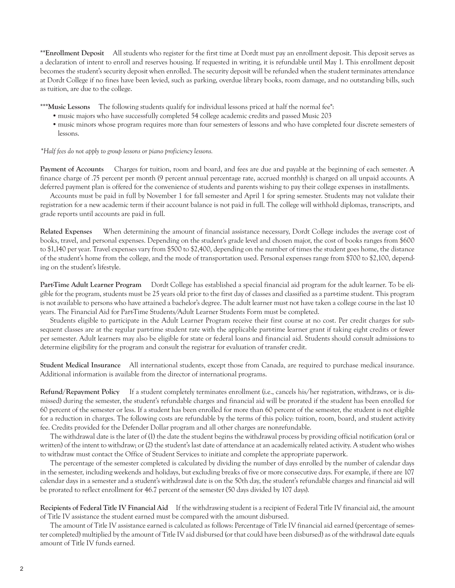**\*\*Enrollment Deposit** All students who register for the first time at Dordt must pay an enrollment deposit. This deposit serves as a declaration of intent to enroll and reserves housing. If requested in writing, it is refundable until May 1. This enrollment deposit becomes the student's security deposit when enrolled. The security deposit will be refunded when the student terminates attendance at Dordt College if no fines have been levied, such as parking, overdue library books, room damage, and no outstanding bills, such as tuition, are due to the college.

\*\*\***Music Lessons** The following students qualify for individual lessons priced at half the normal fee\*:

- •music majors who have successfully completed 54 college academic credits and passed Music 203
- •music minors whose program requires more than four semesters of lessons and who have completed four discrete semesters of lessons.

#### *\*Half fees do not apply to group lessons or piano proficiency lessons.*

**Payment of Accounts** Charges for tuition, room and board, and fees are due and payable at the beginning of each semester. A finance charge of .75 percent per month (9 percent annual percentage rate, accrued monthly) is charged on all unpaid accounts. A deferred payment plan is offered for the convenience of students and parents wishing to pay their college expenses in installments.

Accounts must be paid in full by November 1 for fall semester and April 1 for spring semester. Students may not validate their registration for a new academic term if their account balance is not paid in full. The college will withhold diplomas, transcripts, and grade reports until accounts are paid in full.

**Related Expenses** When determining the amount of financial assistance necessary, Dordt College includes the average cost of books, travel, and personal expenses. Depending on the student's grade level and chosen major, the cost of books ranges from \$600 to \$1,140 per year. Travel expenses vary from \$500 to \$2,400, depending on the number of times the student goes home, the distance of the student's home from the college, and the mode of transportation used. Personal expenses range from \$700 to \$2,100, depending on the student's lifestyle.

**Part-Time Adult Learner Program** Dordt College has established a special financial aid program for the adult learner. To be eligible for the program, students must be 25 years old prior to the first day of classes and classified as a part-time student. This program is not available to persons who have attained a bachelor's degree. The adult learner must not have taken a college course in the last 10 years. The Financial Aid for Part-Time Students/Adult Learner Students Form must be completed.

Students eligible to participate in the Adult Learner Program receive their first course at no cost. Per credit charges for subsequent classes are at the regular part-time student rate with the applicable part-time learner grant if taking eight credits or fewer per semester. Adult learners may also be eligible for state or federal loans and financial aid. Students should consult admissions to determine eligibility for the program and consult the registrar for evaluation of transfer credit.

**Student Medical Insurance** All international students, except those from Canada, are required to purchase medical insurance. Additional information is available from the director of international programs.

**Refund/Repayment Policy** If a student completely terminates enrollment (i.e., cancels his/her registration, withdraws, or is dismissed) during the semester, the student's refundable charges and financial aid will be prorated if the student has been enrolled for 60 percent of the semester or less. If a student has been enrolled for more than 60 percent of the semester, the student is not eligible for a reduction in charges. The following costs are refundable by the terms of this policy: tuition, room, board, and student activity fee. Credits provided for the Defender Dollar program and all other charges are nonrefundable.

The withdrawal date is the later of (1) the date the student begins the withdrawal process by providing official notification (oral or written) of the intent to withdraw; or (2) the student's last date of attendance at an academically related activity. A student who wishes to withdraw must contact the Office of Student Services to initiate and complete the appropriate paperwork.

The percentage of the semester completed is calculated by dividing the number of days enrolled by the number of calendar days in the semester, including weekends and holidays, but excluding breaks of five or more consecutive days. For example, if there are 107 calendar days in a semester and a student's withdrawal date is on the 50th day, the student's refundable charges and financial aid will be prorated to reflect enrollment for 46.7 percent of the semester (50 days divided by 107 days).

**Recipients of Federal Title IV Financial Aid** If the withdrawing student is a recipient of Federal Title IV financial aid, the amount of Title IV assistance the student earned must be compared with the amount disbursed.

The amount of Title IV assistance earned is calculated as follows: Percentage of Title IV financial aid earned (percentage of semester completed) multiplied by the amount of Title IV aid disbursed (or that could have been disbursed) as of the withdrawal date equals amount of Title IV funds earned.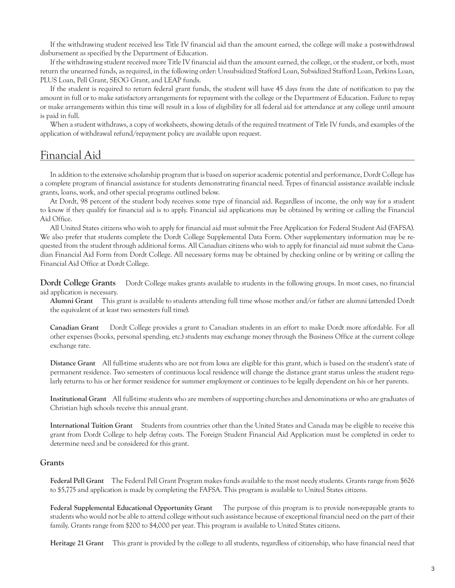If the withdrawing student received less Title IV financial aid than the amount earned, the college will make a post-withdrawal disbursement as specified by the Department of Education.

If the withdrawing student received more Title IV financial aid than the amount earned, the college, or the student, or both, must return the unearned funds, as required, in the following order: Unsubsidized Stafford Loan, Subsidized Stafford Loan, Perkins Loan, PLUS Loan, Pell Grant, SEOG Grant, and LEAP funds.

If the student is required to return federal grant funds, the student will have 45 days from the date of notification to pay the amount in full or to make satisfactory arrangements for repayment with the college or the Department of Education. Failure to repay or make arrangements within this time will result in a loss of eligibility for all federal aid for attendance at any college until amount is paid in full.

When a student withdraws, a copy of worksheets, showing details of the required treatment of Title IV funds, and examples of the application of withdrawal refund/repayment policy are available upon request.

# Financial Aid

In addition to the extensive scholarship program that is based on superior academic potential and performance, Dordt College has a complete program of financial assistance for students demonstrating financial need. Types of financial assistance available include grants, loans, work, and other special programs outlined below.

At Dordt, 98 percent of the student body receives some type of financial aid. Regardless of income, the only way for a student to know if they qualify for financial aid is to apply. Financial aid applications may be obtained by writing or calling the Financial Aid Office.

All United States citizens who wish to apply for financial aid must submit the Free Application for Federal Student Aid (FAFSA). We also prefer that students complete the Dordt College Supplemental Data Form. Other supplementary information may be requested from the student through additional forms. All Canadian citizens who wish to apply for financial aid must submit the Canadian Financial Aid Form from Dordt College. All necessary forms may be obtained by checking online or by writing or calling the Financial Aid Office at Dordt College.

**Dordt College Grants** Dordt College makes grants available to students in the following groups. In most cases, no financial aid application is necessary.

**Alumni Grant** This grant is available to students attending full time whose mother and/or father are alumni (attended Dordt the equivalent of at least two semesters full time).

**Canadian Grant** Dordt College provides a grant to Canadian students in an effort to make Dordt more affordable. For all other expenses (books, personal spending, etc.) students may exchange money through the Business Office at the current college exchange rate.

**Distance Grant** All full-time students who are not from Iowa are eligible for this grant, which is based on the student's state of permanent residence. Two semesters of continuous local residence will change the distance grant status unless the student regularly returns to his or her former residence for summer employment or continues to be legally dependent on his or her parents.

**Institutional Grant** All full-time students who are members of supporting churches and denominations or who are graduates of Christian high schools receive this annual grant.

**International Tuition Grant** Students from countries other than the United States and Canada may be eligible to receive this grant from Dordt College to help defray costs. The Foreign Student Financial Aid Application must be completed in order to determine need and be considered for this grant.

#### **Grants**

**Federal Pell Grant** The Federal Pell Grant Program makes funds available to the most needy students. Grants range from \$626 to \$5,775 and application is made by completing the FAFSA. This program is available to United States citizens.

**Federal Supplemental Educational Opportunity Grant** The purpose of this program is to provide non-repayable grants to students who would not be able to attend college without such assistance because of exceptional financial need on the part of their family. Grants range from \$200 to \$4,000 per year. This program is available to United States citizens.

**Heritage 21 Grant** This grant is provided by the college to all students, regardless of citizenship, who have financial need that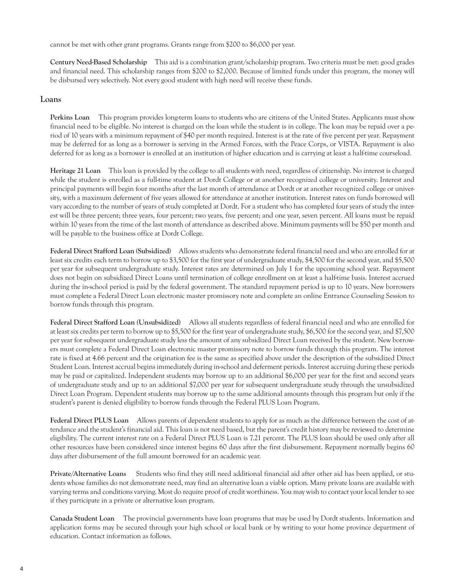cannot be met with other grant programs. Grants range from \$200 to \$6,000 per year.

**Century Need-Based Scholarship** This aid is a combination grant/scholarship program. Two criteria must be met: good grades and financial need. This scholarship ranges from \$200 to \$2,000. Because of limited funds under this program, the money will be disbursed very selectively. Not every good student with high need will receive these funds.

## **Loans**

**Perkins Loan** This program provides long-term loans to students who are citizens of the United States. Applicants must show financial need to be eligible. No interest is charged on the loan while the student is in college. The loan may be repaid over a period of 10 years with a minimum repayment of \$40 per month required. Interest is at the rate of five percent per year. Repayment may be deferred for as long as a borrower is serving in the Armed Forces, with the Peace Corps, or VISTA. Repayment is also deferred for as long as a borrower is enrolled at an institution of higher education and is carrying at least a half-time courseload.

**Heritage 21 Loan** This loan is provided by the college to all students with need, regardless of citizenship. No interest is charged while the student is enrolled as a full-time student at Dordt College or at another recognized college or university. Interest and principal payments will begin four months after the last month of attendance at Dordt or at another recognized college or university, with a maximum deferment of five years allowed for attendance at another institution. Interest rates on funds borrowed will vary according to the number of years of study completed at Dordt. For a student who has completed four years of study the interest will be three percent; three years, four percent; two years, five percent; and one year, seven percent. All loans must be repaid within 10 years from the time of the last month of attendance as described above. Minimum payments will be \$50 per month and will be payable to the business office at Dordt College.

**Federal Direct Stafford Loan (Subsidized)** Allows students who demonstrate federal financial need and who are enrolled for at least six credits each term to borrow up to \$3,500 for the first year of undergraduate study, \$4,500 for the second year, and \$5,500 per year for subsequent undergraduate study. Interest rates are determined on July 1 for the upcoming school year. Repayment does not begin on subsidized Direct Loans until termination of college enrollment on at least a half-time basis. Interest accrued during the in-school period is paid by the federal government. The standard repayment period is up to 10 years. New borrowers must complete a Federal Direct Loan electronic master promissory note and complete an online Entrance Counseling Session to borrow funds through this program.

**Federal Direct Stafford Loan (Unsubsidized)** Allows all students regardless of federal financial need and who are enrolled for at least six credits per term to borrow up to \$5,500 for the first year of undergraduate study, \$6,500 for the second year, and \$7,500 per year for subsequent undergraduate study less the amount of any subsidized Direct Loan received by the student. New borrowers must complete a Federal Direct Loan electronic master promissory note to borrow funds through this program. The interest rate is fixed at 4.66 percent and the origination fee is the same as specified above under the description of the subsidized Direct Student Loan. Interest accrual begins immediately during in-school and deferment periods. Interest accruing during these periods may be paid or capitalized. Independent students may borrow up to an additional \$6,000 per year for the first and second years of undergraduate study and up to an additional \$7,000 per year for subsequent undergraduate study through the unsubsidized Direct Loan Program. Dependent students may borrow up to the same additional amounts through this program but only if the student's parent is denied eligibility to borrow funds through the Federal PLUS Loan Program.

**Federal Direct PLUS Loan** Allows parents of dependent students to apply for as much as the difference between the cost of attendance and the student's financial aid. This loan is not need based, but the parent's credit history may be reviewed to determine eligibility. The current interest rate on a Federal Direct PLUS Loan is 7.21 percent. The PLUS loan should be used only after all other resources have been considered since interest begins 60 days after the first disbursement. Repayment normally begins 60 days after disbursement of the full amount borrowed for an academic year.

**Private/Alternative Loans** Students who find they still need additional financial aid after other aid has been applied, or students whose families do not demonstrate need, may find an alternative loan a viable option. Many private loans are available with varying terms and conditions varying. Most do require proof of credit worthiness. You may wish to contact your local lender to see if they participate in a private or alternative loan program.

**Canada Student Loan** The provincial governments have loan programs that may be used by Dordt students. Information and application forms may be secured through your high school or local bank or by writing to your home province department of education. Contact information as follows.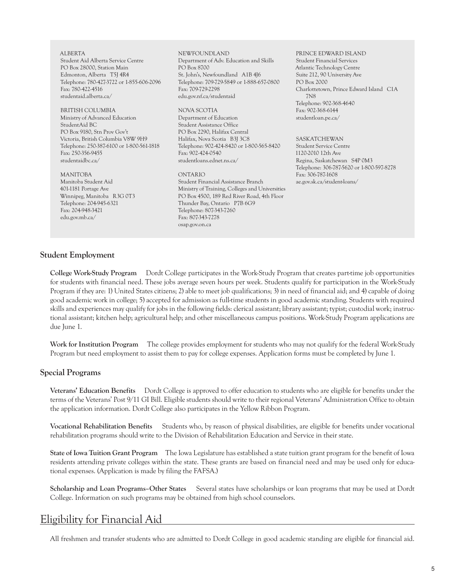ALBERTA Student Aid Alberta Service Centre PO Box 28000, Station Main Edmonton, Alberta T5J 4R4 Telephone: 780-427-3722 or 1-855-606-2096 Fax: 780-422-4516 studentaid.alberta.ca/ BRITISH COLUMBIA Ministry of Advanced Education StudentAid BC PO Box 9180, Stn Prov Gov't Victoria, British Columbia V8W 9H9 Telephone: 250-387-6100 or 1-800-561-1818 Fax: 250-356-9455 studentaidbc.ca/ MANITOBA Manitoba Student Aid 401-1181 Portage Ave Winnipeg, Manitoba R3G 0T3 Telephone: 204-945-6321 Fax: 204-948-3421 edu.gov.mb.ca/ NEWFOUNDLAND Department of Adv. Education and Skills PO Box 8700 St. John's, Newfoundland A1B 4J6 Telephone: 709-729-5849 or 1-888-657-0800 Fax: 709-729-2298 edu.gov.nf.ca/studentaid NOVA SCOTIA Department of Education Student Assistance Office PO Box 2290, Halifax Central Halifax, Nova Scotia B3J 3C8 Telephone: 902-424-8420 or 1-800-565-8420 Fax: 902-424-0540 studentloans.ednet.ns.ca/ ONTARIO Student Financial Assistance Branch Ministry of Training, Colleges and Universities PO Box 4500, 189 Red River Road, 4th Floor Thunder Bay, Ontario P7B 6G9 Telephone: 807-343-7260 Fax: 807-343-7278 osap.gov.on.ca PRINCE EDWARD ISLAND Student Financial Services Atlantic Technology Centre Suite 212, 90 University Ave PO Box 2000 Charlottetown, Prince Edward Island C1A 7N8 Telephone: 902-368-4640 Fax: 902-368-6144 studentloan.pe.ca/ SASKATCHEWAN Student Service Centre 1120-2010 12th Ave Regina, Saskatchewan S4P 0M3 Telephone: 306-787-5620 or 1-800-597-8278 Fax: 306-787-1608 ae.gov.sk.ca/student-loans/

#### **Student Employment**

**College Work-Study Program** Dordt College participates in the Work-Study Program that creates part-time job opportunities for students with financial need. These jobs average seven hours per week. Students qualify for participation in the Work-Study Program if they are: 1) United States citizens; 2) able to meet job qualifications; 3) in need of financial aid; and 4) capable of doing good academic work in college; 5) accepted for admission as full-time students in good academic standing. Students with required skills and experiences may qualify for jobs in the following fields: clerical assistant; library assistant; typist; custodial work; instructional assistant; kitchen help; agricultural help; and other miscellaneous campus positions. Work-Study Program applications are due June 1.

**Work for Institution Program** The college provides employment for students who may not qualify for the federal Work-Study Program but need employment to assist them to pay for college expenses. Application forms must be completed by June 1.

## **Special Programs**

**Veterans' Education Benefits** Dordt College is approved to offer education to students who are eligible for benefits under the terms of the Veterans' Post 9/11 GI Bill. Eligible students should write to their regional Veterans' Administration Office to obtain the application information. Dordt College also participates in the Yellow Ribbon Program.

**Vocational Rehabilitation Benefits** Students who, by reason of physical disabilities, are eligible for benefits under vocational rehabilitation programs should write to the Division of Rehabilitation Education and Service in their state.

**State of Iowa Tuition Grant Program** The Iowa Legislature has established a state tuition grant program for the benefit of Iowa residents attending private colleges within the state. These grants are based on financial need and may be used only for educational expenses. (Application is made by filing the FAFSA.)

**Scholarship and Loan Programs–Other States** Several states have scholarships or loan programs that may be used at Dordt College. Information on such programs may be obtained from high school counselors.

# Eligibility for Financial Aid

All freshmen and transfer students who are admitted to Dordt College in good academic standing are eligible for financial aid.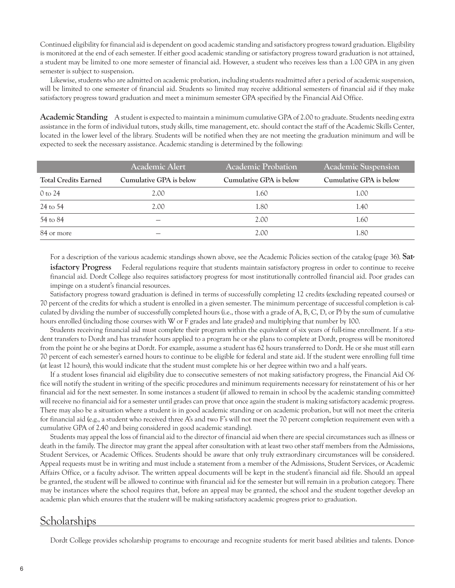Continued eligibility for financial aid is dependent on good academic standing and satisfactory progress toward graduation. Eligibility is monitored at the end of each semester. If either good academic standing or satisfactory progress toward graduation is not attained, a student may be limited to one more semester of financial aid. However, a student who receives less than a 1.00 GPA in any given semester is subject to suspension.

Likewise, students who are admitted on academic probation, including students readmitted after a period of academic suspension, will be limited to one semester of financial aid. Students so limited may receive additional semesters of financial aid if they make satisfactory progress toward graduation and meet a minimum semester GPA specified by the Financial Aid Office.

**Academic Standing** A student is expected to maintain a minimum cumulative GPA of 2.00 to graduate. Students needing extra assistance in the form of individual tutors, study skills, time management, etc. should contact the staff of the Academic Skills Center, located in the lower level of the library. Students will be notified when they are not meeting the graduation minimum and will be expected to seek the necessary assistance. Academic standing is determined by the following:

|                             | <b>Academic Alert</b>   | <b>Academic Probation</b> | <b>Academic Suspension</b> |
|-----------------------------|-------------------------|---------------------------|----------------------------|
| <b>Total Credits Earned</b> | Cumulative GPA is below | Cumulative GPA is below   | Cumulative GPA is below    |
| 0 to 24                     | 2.00                    | 1.60                      | 1.00                       |
| 24 to 54                    | 2.00                    | 1.80                      | 1.40                       |
| 54 to 84                    |                         | 2.00                      | 1.60                       |
| 84 or more                  |                         | 2.00                      | 1.80                       |

For a description of the various academic standings shown above, see the Academic Policies section of the catalog (page 36). **Satisfactory Progress** Federal regulations require that students maintain satisfactory progress in order to continue to receive financial aid. Dordt College also requires satisfactory progress for most institutionally controlled financial aid. Poor grades can impinge on a student's financial resources.

Satisfactory progress toward graduation is defined in terms of successfully completing 12 credits (excluding repeated courses) or 70 percent of the credits for which a student is enrolled in a given semester. The minimum percentage of successful completion is calculated by dividing the number of successfully completed hours (i.e., those with a grade of A, B, C, D, or P) by the sum of cumulative hours enrolled (including those courses with W or F grades and late grades) and multiplying that number by 100.

Students receiving financial aid must complete their program within the equivalent of six years of full-time enrollment. If a student transfers to Dordt and has transfer hours applied to a program he or she plans to complete at Dordt, progress will be monitored from the point he or she begins at Dordt. For example, assume a student has 62 hours transferred to Dordt. He or she must still earn 70 percent of each semester's earned hours to continue to be eligible for federal and state aid. If the student were enrolling full time (at least 12 hours), this would indicate that the student must complete his or her degree within two and a half years.

If a student loses financial aid eligibility due to consecutive semesters of not making satisfactory progress, the Financial Aid Office will notify the student in writing of the specific procedures and minimum requirements necessary for reinstatement of his or her financial aid for the next semester. In some instances a student (if allowed to remain in school by the academic standing committee) will receive no financial aid for a semester until grades can prove that once again the student is making satisfactory academic progress. There may also be a situation where a student is in good academic standing or on academic probation, but will not meet the criteria for financial aid (e.g., a student who received three A's and two F's will not meet the 70 percent completion requirement even with a cumulative GPA of 2.40 and being considered in good academic standing).

Students may appeal the loss of financial aid to the director of financial aid when there are special circumstances such as illness or death in the family. The director may grant the appeal after consultation with at least two other staff members from the Admissions, Student Services, or Academic Offices. Students should be aware that only truly extraordinary circumstances will be considered. Appeal requests must be in writing and must include a statement from a member of the Admissions, Student Services, or Academic Affairs Office, or a faculty advisor. The written appeal documents will be kept in the student's financial aid file. Should an appeal be granted, the student will be allowed to continue with financial aid for the semester but will remain in a probation category. There may be instances where the school requires that, before an appeal may be granted, the school and the student together develop an academic plan which ensures that the student will be making satisfactory academic progress prior to graduation.

## **Scholarships**

Dordt College provides scholarship programs to encourage and recognize students for merit based abilities and talents. Donor-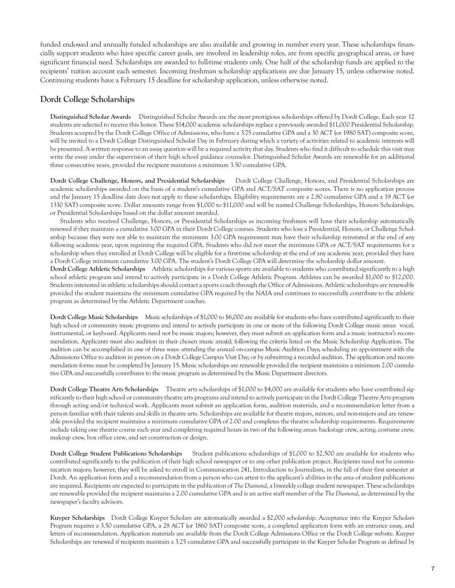funded endowed and annually funded scholarships are also available and growing in number every year. These scholarships financially support students who have specific career goals, are involved in leadership roles, are from specific geographical areas, or have significant financial need. Scholarships are awarded to full-time students only. One half of the scholarship funds are applied to the recipients' tuition account each semester. Incoming freshman scholarship applications are due January 15, unless otherwise noted. Continuing students have a February 15 deadline for scholarship application, unless otherwise noted.

## **Dordt College Scholarships**

**Distinguished Scholar Awards** Distinguished Scholar Awards are the most prestigious scholarships offered by Dordt College. Each year 12 students are selected to receive this honor. These \$14,000 academic scholarships replace a previously awarded \$11,000 Presidential Scholarship. Students accepted by the Dordt College Office of Admissions, who have a 3.75 cumulative GPA and a 30 ACT (or 1980 SAT) composite score, will be invited to a Dordt College Distinguished Scholar Day in February during which a variety of activities related to academic interests will be presented. A written response to an essay question will be a required activity that day. Students who find it difficult to schedule this visit may write the essay under the supervision of their high school guidance counselor. Distinguished Scholar Awards are renewable for an additional three consecutive years, provided the recipient maintains a minimum 3.50 cumulative GPA.

**Dordt College Challenge, Honors, and Presidential Scholarships** Dordt College Challenge, Honors, and Presidential Scholarships are academic scholarships awarded on the basis of a student's cumulative GPA and ACT/SAT composite scores. There is no application process and the January 15 deadline date does not apply to these scholarships. Eligibility requirements are a 2.80 cumulative GPA and a 19 ACT (or 1330 SAT) composite score. Dollar amounts range from \$1,000 to \$11,000 and will be named Challenge Scholarships, Honors Scholarships, or Presidential Scholarships based on the dollar amount awarded.

Students who received Challenge, Honors, or Presidential Scholarships as incoming freshmen will have their scholarship automatically renewed if they maintain a cumulative 3.00 GPA in their Dordt College courses. Students who lose a Presidential, Honors, or Challenge Scholarship because they were not able to maintain the minimum 3.00 GPA requirement may have their scholarship reinstated at the end of any following academic year, upon regaining the required GPA. Students who did not meet the minimum GPA or ACT/SAT requirements for a scholarship when they enrolled at Dordt College will be eligible for a first-time scholarship at the end of any academic year, provided they have a Dordt College minimum cumulative 3.00 GPA. The student's Dordt College GPA will determine the scholarship dollar amount.

**Dordt College Athletic Scholarships** Athletic scholarships for various sports are available to students who contributed significantly to a high school athletic program and intend to actively participate in a Dordt College Athletic Program. Athletes can be awarded \$1,000 to \$12,000. Students interested in athletic scholarships should contact a sports coach through the Office of Admissions. Athletic scholarships are renewable provided the student maintains the minimum cumulative GPA required by the NAIA and continues to successfully contribute to the athletic program as determined by the Athletic Department coaches.

**Dordt College Music Scholarships** Music scholarships of \$1,000 to \$6,000 are available for students who have contributed significantly to their high school or community music programs and intend to actively participate in one or more of the following Dordt College music areas: vocal, instrumental, or keyboard. Applicants need not be music majors; however, they must submit an application form and a music instructor's recommendation. Applicants must also audition in their chosen music area(s), following the criteria listed on the Music Scholarship Application. The audition can be accomplished in one of three ways: attending the annual on-campus Music Audition Days; scheduling an appointment with the Admissions Office to audition in person on a Dordt College Campus Visit Day; or by submitting a recorded audition. The application and recommendation forms must be completed by January 15. Music scholarships are renewable provided the recipient maintains a minimum 2.00 cumulative GPA and successfully contributes to the music program as determined by the Music Department directors.

**Dordt College Theatre Arts Scholarships** Theatre arts scholarships of \$1,000 to \$4,000 are available for students who have contributed significantly to their high school or community theatre arts programs and intend to actively participate in the Dordt College Theatre Arts program through acting and/or technical work. Applicants must submit an application form, audition materials, and a recommendation letter from a person familiar with their talents and skills in theatre arts. Scholarships are available for theatre majors, minors, and non-majors and are renewable provided the recipient maintains a minimum cumulative GPA of 2.00 and completes the theatre scholarship requirements. Requirements include taking one theatre course each year and completing required hours in two of the following areas: backstage crew, acting, costume crew, makeup crew, box office crew, and set construction or design.

**Dordt College Student Publications Scholarships** Student publications scholarships of \$1,000 to \$2,500 are available for students who contributed significantly to the publication of their high school newspaper or to any other publication project. Recipients need not be communication majors; however, they will be asked to enroll in Communication 241, Introduction to Journalism, in the fall of their first semester at Dordt. An application form and a recommendation from a person who can attest to the applicant's abilities in the area of student publications are required. Recipients are expected to participate in the publication of *The Diamond*, a biweekly college student newspaper. These scholarships are renewable provided the recipient maintains a 2.00 cumulative GPA and is an active staff member of the *The Diamond*, as determined by the newspaper's faculty advisors.

**Kuyper Scholarships** Dordt College Kuyper Scholars are automatically awarded a \$2,000 scholarship. Acceptance into the Kuyper Scholars Program requires a 3.50 cumulative GPA, a 28 ACT (or 1860 SAT) composite score, a completed application form with an entrance essay, and letters of recommendation. Application materials are available from the Dordt College Admissions Office or the Dordt College website. Kuyper Scholarships are renewed if recipients maintain a 3.25 cumulative GPA and successfully participate in the Kuyper Scholar Program as defined by